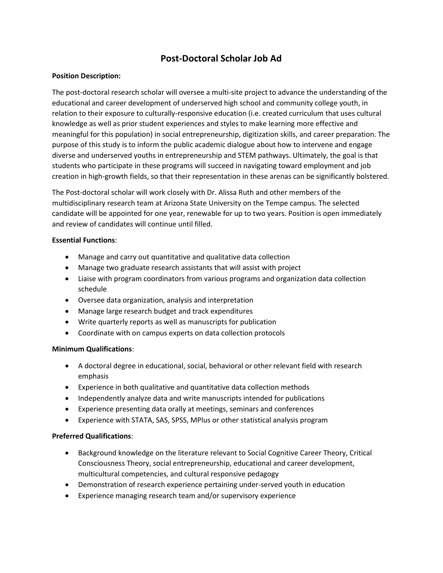# Post-Doctoral Scholar Job Ad

## Position Description:

The post-doctoral research scholar will oversee a multi-site project to advance the understanding of the educational and career development of underserved high school and community college youth, in relation to their exposure to culturally-responsive education (i.e. created curriculum that uses cultural knowledge as well as prior student experiences and styles to make learning more effective and meaningful for this population) in social entrepreneurship, digitization skills, and career preparation. The purpose of this study is to inform the public academic dialogue about how to intervene and engage diverse and underserved youths in entrepreneurship and STEM pathways. Ultimately, the goal is that students who participate in these programs will succeed in navigating toward employment and job creation in high-growth fields, so that their representation in these arenas can be significantly bolstered.

The Post-doctoral scholar will work closely with Dr. Alissa Ruth and other members of the multidisciplinary research team at Arizona State University on the Tempe campus. The selected candidate will be appointed for one year, renewable for up to two years. Position is open immediately and review of candidates will continue until filled.

## Essential Functions:

- Manage and carry out quantitative and qualitative data collection
- Manage two graduate research assistants that will assist with project
- Liaise with program coordinators from various programs and organization data collection schedule
- Oversee data organization, analysis and interpretation
- Manage large research budget and track expenditures
- Write quarterly reports as well as manuscripts for publication
- Coordinate with on campus experts on data collection protocols

## Minimum Qualifications:

- A doctoral degree in educational, social, behavioral or other relevant field with research emphasis
- Experience in both qualitative and quantitative data collection methods
- Independently analyze data and write manuscripts intended for publications
- Experience presenting data orally at meetings, seminars and conferences
- Experience with STATA, SAS, SPSS, MPlus or other statistical analysis program

## Preferred Qualifications:

- Background knowledge on the literature relevant to Social Cognitive Career Theory, Critical Consciousness Theory, social entrepreneurship, educational and career development, multicultural competencies, and cultural responsive pedagogy
- Demonstration of research experience pertaining under-served youth in education
- Experience managing research team and/or supervisory experience